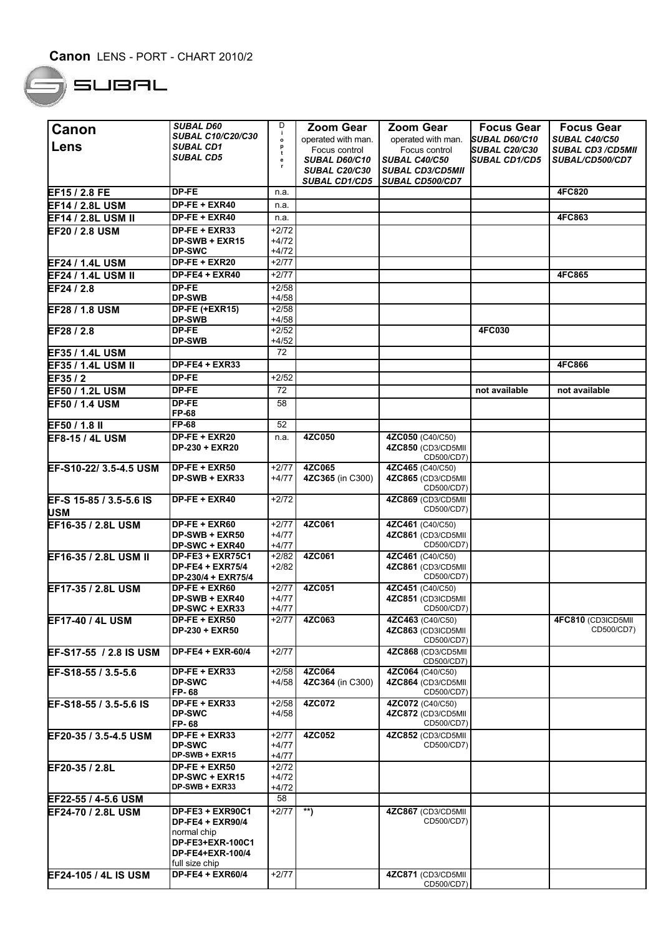## **SUBAL**

**The Second Street** 

|                           | <b>SUBAL D60</b>                            | D                  | <b>Zoom Gear</b>     | <b>Zoom Gear</b>                       | <b>Focus Gear</b>     | <b>Focus Gear</b>                |
|---------------------------|---------------------------------------------|--------------------|----------------------|----------------------------------------|-----------------------|----------------------------------|
| Canon                     | <b>SUBAL C10/C20/C30</b>                    | j.<br>o            | operated with man.   | operated with man.                     | <b>SUBAL D60/C10</b>  | SUBAL C40/C50                    |
| Lens                      | <b>SUBAL CD1</b>                            | р<br>t             | Focus control        | Focus control                          | <b>ISUBAL C20/C30</b> | <b>SUBAL CD3/CD5MII</b>          |
|                           | <b>SUBAL CD5</b>                            | е                  | <b>SUBAL D60/C10</b> | <b>SUBAL C40/C50</b>                   | <b>SUBAL CD1/CD5</b>  | SUBAL/CD500/CD7                  |
|                           |                                             |                    | <b>SUBAL C20/C30</b> | <b>SUBAL CD3/CD5MII</b>                |                       |                                  |
|                           | DP-FE                                       |                    | <b>SUBAL CD1/CD5</b> | <b>SUBAL CD500/CD7</b>                 |                       | 4FC820                           |
| EF15 / 2.8 FE             |                                             | n.a.               |                      |                                        |                       |                                  |
| <b>EF14 / 2.8L USM</b>    | <b>DP-FE + EXR40</b>                        | n.a.               |                      |                                        |                       |                                  |
| <b>EF14 / 2.8L USM II</b> | DP-FE + EXR40<br>DP-FE + EXR33              | n.a.<br>$+2/72$    |                      |                                        |                       | 4FC863                           |
| EF20 / 2.8 USM            | DP-SWB + EXR15                              | +4/72              |                      |                                        |                       |                                  |
|                           | <b>DP-SWC</b>                               | +4/72              |                      |                                        |                       |                                  |
| EF24 / 1.4L USM           | DP-FE + EXR20                               | $+2/77$            |                      |                                        |                       |                                  |
| EF24 / 1.4L USM II        | $DP-FE4 + EXR40$                            | $+2/77$            |                      |                                        |                       | 4FC865                           |
| EF24 / 2.8                | DP-FE                                       | $+2/58$            |                      |                                        |                       |                                  |
|                           | <b>DP-SWB</b>                               | $+4/58$            |                      |                                        |                       |                                  |
| EF28 / 1.8 USM            | DP-FE (+EXR15)<br><b>DP-SWB</b>             | $+2/58$<br>$+4/58$ |                      |                                        |                       |                                  |
| EF28 / 2.8                | DP-FE                                       | $+2/52$            |                      |                                        | 4FC030                |                                  |
|                           | <b>DP-SWB</b>                               | +4/52              |                      |                                        |                       |                                  |
| EF35 / 1.4L USM           |                                             | 72                 |                      |                                        |                       |                                  |
| <b>EF35 / 1.4L USM II</b> | DP-FE4 + EXR33                              |                    |                      |                                        |                       | 4FC866                           |
| EF35 / 2                  | DP-FE                                       | +2/52              |                      |                                        |                       |                                  |
| EF50 / 1.2L USM           | DP-FE                                       | 72                 |                      |                                        | not available         | not available                    |
| <b>EF50 / 1.4 USM</b>     | DP-FE                                       | 58                 |                      |                                        |                       |                                  |
| EF50 / 1.8 II             | FP-68<br>FP-68                              | 52                 |                      |                                        |                       |                                  |
| EF8-15 / 4L USM           | $DP-FE + EXR20$                             | n.a.               | 4ZC050               | 4ZC050 (C40/C50)                       |                       |                                  |
|                           | DP-230 + EXR20                              |                    |                      | 4ZC850 (CD3/CD5MII                     |                       |                                  |
|                           |                                             |                    |                      | CD500/CD7)                             |                       |                                  |
| EF-S10-22/ 3.5-4.5 USM    | DP-FE + EXR50                               | $+2/77$            | 4ZC065               | 4ZC465 (C40/C50)                       |                       |                                  |
|                           | DP-SWB + EXR33                              | +4/77              | 4ZC365 (in C300)     | 4ZC865 (CD3/CD5MII<br>CD500/CD7)       |                       |                                  |
| EF-S 15-85 / 3.5-5.6 IS   | DP-FE + EXR40                               | $+2/72$            |                      | 4ZC869 (CD3/CD5MII                     |                       |                                  |
| <b>USM</b>                |                                             |                    |                      | CD500/CD7)                             |                       |                                  |
| EF16-35 / 2.8L USM        | DP-FE + EXR60                               | $+2/77$            | 4ZC061               | 4ZC461 (C40/C50)                       |                       |                                  |
|                           | DP-SWB + EXR50                              | +4/77              |                      | 4ZC861 (CD3/CD5MII                     |                       |                                  |
|                           | DP-SWC + EXR40                              | +4/77              |                      | CD500/CD7)                             |                       |                                  |
| EF16-35 / 2.8L USM II     | DP-FE3 + EXR75C1<br><b>DP-FE4 + EXR75/4</b> | $+2/82$<br>$+2/82$ | 4ZC061               | 4ZC461 (C40/C50)<br>4ZC861 (CD3/CD5MII |                       |                                  |
|                           | DP-230/4 + EXR75/4                          |                    |                      | CD500/CD7)                             |                       |                                  |
| EF17-35 / 2.8L USM        | $DP-FE + EXR60$                             | $+2/77$            | 4ZC051               | 4ZC451 (C40/C50)                       |                       |                                  |
|                           | DP-SWB + EXR40                              | $+4/77$            |                      | 4ZC851 (CD3ICD5MII                     |                       |                                  |
|                           | DP-SWC + EXR33                              | +4/77              |                      | CD500/CD7)                             |                       |                                  |
| EF17-40 / 4L USM          | <b>DP-FE + EXR50</b><br>DP-230 + EXR50      | $+2/77$            | 4ZC063               | 4ZC463 (C40/C50)<br>4ZC863 (CD3ICD5MII |                       | 4FC810 (CD3ICD5MII<br>CD500/CD7) |
|                           |                                             |                    |                      | CD500/CD7)                             |                       |                                  |
| EF-S17-55 / 2.8 IS USM    | <b>DP-FE4 + EXR-60/4</b>                    | $+2/77$            |                      | 4ZC868 (CD3/CD5MII                     |                       |                                  |
|                           | $DP-FE + EXR33$                             | $+2/58$            | <b>4ZC064</b>        | CD500/CD7)<br>4ZC064 (C40/C50)         |                       |                                  |
| EF-S18-55 / 3.5-5.6       | <b>DP-SWC</b>                               | +4/58              | 4ZC364 (in C300)     | 4ZC864 (CD3/CD5MII                     |                       |                                  |
|                           | FP-68                                       |                    |                      | CD500/CD7)                             |                       |                                  |
| EF-S18-55 / 3.5-5.6 IS    | DP-FE + EXR33                               | $+2/58$            | 4ZC072               | 4ZC072 (C40/C50)                       |                       |                                  |
|                           | <b>DP-SWC</b><br>FP-68                      | $+4/58$            |                      | 4ZC872 (CD3/CD5MII<br>CD500/CD7)       |                       |                                  |
| EF20-35 / 3.5-4.5 USM     | DP-FE + EXR33                               | $+2/77$            | 4ZC052               | 4ZC852 (CD3/CD5MII                     |                       |                                  |
|                           | <b>DP-SWC</b>                               | +4/77              |                      | CD500/CD7)                             |                       |                                  |
|                           | DP-SWB + EXR15                              | +4/77              |                      |                                        |                       |                                  |
| EF20-35 / 2.8L            | $DP-FE + EXR50$                             | +2/72              |                      |                                        |                       |                                  |
|                           | DP-SWC + EXR15<br>DP-SWB + EXR33            | +4/72<br>+4/72     |                      |                                        |                       |                                  |
| EF22-55 / 4-5.6 USM       |                                             | 58                 |                      |                                        |                       |                                  |
| EF24-70 / 2.8L USM        | DP-FE3 + EXR90C1                            | +2/77              | $**$                 | 4ZC867 (CD3/CD5MII                     |                       |                                  |
|                           | <b>DP-FE4 + EXR90/4</b>                     |                    |                      | CD500/CD7)                             |                       |                                  |
|                           | normal chip                                 |                    |                      |                                        |                       |                                  |
|                           | DP-FE3+EXR-100C1<br>DP-FE4+EXR-100/4        |                    |                      |                                        |                       |                                  |
|                           | full size chip                              |                    |                      |                                        |                       |                                  |
| EF24-105 / 4L IS USM      | <b>DP-FE4 + EXR60/4</b>                     | $+2/77$            |                      | 4ZC871 (CD3/CD5MII                     |                       |                                  |
|                           |                                             |                    |                      | CD500/CD7)                             |                       |                                  |